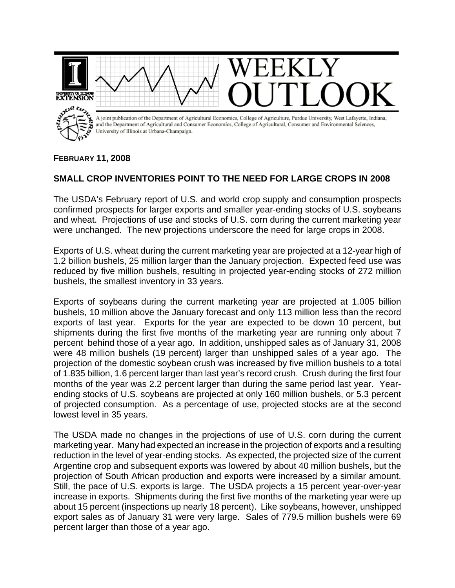

## **FEBRUARY 11, 2008**

## **SMALL CROP INVENTORIES POINT TO THE NEED FOR LARGE CROPS IN 2008**

The USDA's February report of U.S. and world crop supply and consumption prospects confirmed prospects for larger exports and smaller year-ending stocks of U.S. soybeans and wheat. Projections of use and stocks of U.S. corn during the current marketing year were unchanged. The new projections underscore the need for large crops in 2008.

Exports of U.S. wheat during the current marketing year are projected at a 12-year high of 1.2 billion bushels, 25 million larger than the January projection. Expected feed use was reduced by five million bushels, resulting in projected year-ending stocks of 272 million bushels, the smallest inventory in 33 years.

Exports of soybeans during the current marketing year are projected at 1.005 billion bushels, 10 million above the January forecast and only 113 million less than the record exports of last year. Exports for the year are expected to be down 10 percent, but shipments during the first five months of the marketing year are running only about 7 percent behind those of a year ago. In addition, unshipped sales as of January 31, 2008 were 48 million bushels (19 percent) larger than unshipped sales of a year ago. The projection of the domestic soybean crush was increased by five million bushels to a total of 1.835 billion, 1.6 percent larger than last year's record crush. Crush during the first four months of the year was 2.2 percent larger than during the same period last year. Yearending stocks of U.S. soybeans are projected at only 160 million bushels, or 5.3 percent of projected consumption. As a percentage of use, projected stocks are at the second lowest level in 35 years.

The USDA made no changes in the projections of use of U.S. corn during the current marketing year. Many had expected an increase in the projection of exports and a resulting reduction in the level of year-ending stocks. As expected, the projected size of the current Argentine crop and subsequent exports was lowered by about 40 million bushels, but the projection of South African production and exports were increased by a similar amount. Still, the pace of U.S. exports is large. The USDA projects a 15 percent year-over-year increase in exports. Shipments during the first five months of the marketing year were up about 15 percent (inspections up nearly 18 percent). Like soybeans, however, unshipped export sales as of January 31 were very large. Sales of 779.5 million bushels were 69 percent larger than those of a year ago.